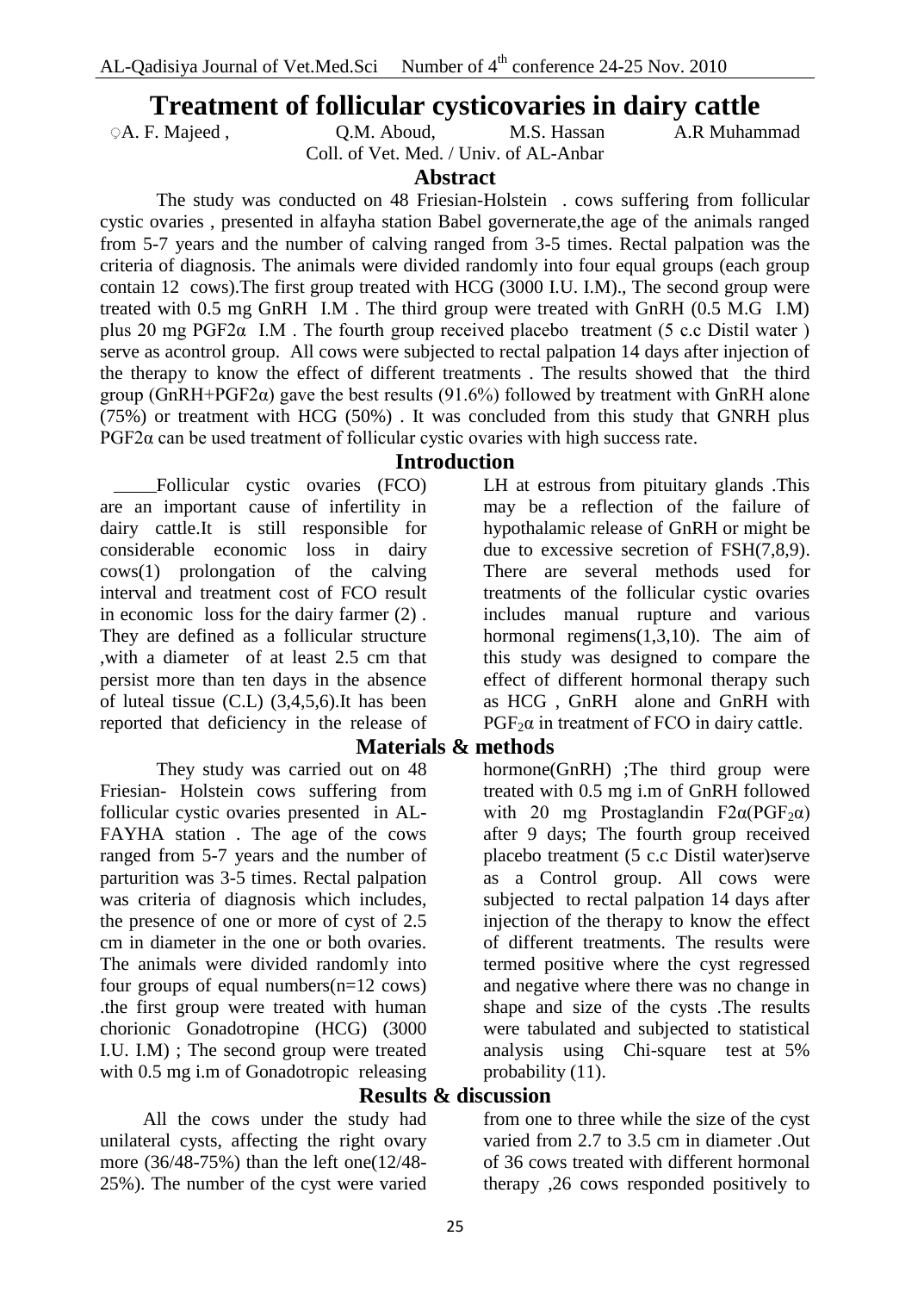## **Treatment of follicular cysticovaries in dairy cattle**

ِ A. F. Majeed , Q.M. Aboud, M.S. Hassan A.R Muhammad Coll. of Vet. Med. / Univ. of AL-Anbar

**Abstract** 

The study was conducted on 48 Friesian-Holstein . cows suffering from follicular cystic ovaries , presented in alfayha station Babel governerate,the age of the animals ranged from 5-7 years and the number of calving ranged from 3-5 times. Rectal palpation was the criteria of diagnosis. The animals were divided randomly into four equal groups (each group contain 12 cows).The first group treated with HCG (3000 I.U. I.M)., The second group were treated with 0.5 mg GnRH I.M . The third group were treated with GnRH (0.5 M.G I.M) plus 20 mg PGF2α I.M . The fourth group received placebo treatment (5 c.c Distil water ) serve as acontrol group. All cows were subjected to rectal palpation 14 days after injection of the therapy to know the effect of different treatments . The results showed that the third group (GnRH+PGF2 $\alpha$ ) gave the best results (91.6%) followed by treatment with GnRH alone (75%) or treatment with HCG (50%) . It was concluded from this study that GNRH plus  $PGF2\alpha$  can be used treatment of follicular cystic ovaries with high success rate.

#### **Introduction**

Follicular cystic ovaries (FCO) are an important cause of infertility in dairy cattle.It is still responsible for considerable economic loss in dairy cows(1) prolongation of the calving interval and treatment cost of FCO result in economic loss for the dairy farmer (2) . They are defined as a follicular structure ,with a diameter of at least 2.5 cm that persist more than ten days in the absence of luteal tissue (C.L) (3,4,5,6).It has been reported that deficiency in the release of

They study was carried out on 48 Friesian- Holstein cows suffering from follicular cystic ovaries presented in AL-FAYHA station . The age of the cows ranged from 5-7 years and the number of parturition was 3-5 times. Rectal palpation was criteria of diagnosis which includes, the presence of one or more of cyst of 2.5 cm in diameter in the one or both ovaries. The animals were divided randomly into four groups of equal numbers(n=12 cows) .the first group were treated with human chorionic Gonadotropine (HCG) (3000 I.U. I.M) ; The second group were treated with 0.5 mg i.m of Gonadotropic releasing

All the cows under the study had unilateral cysts, affecting the right ovary more (36/48-75%) than the left one(12/48- 25%). The number of the cyst were varied LH at estrous from pituitary glands .This may be a reflection of the failure of hypothalamic release of GnRH or might be due to excessive secretion of FSH(7,8,9). There are several methods used for treatments of the follicular cystic ovaries includes manual rupture and various hormonal regimens(1,3,10). The aim of this study was designed to compare the effect of different hormonal therapy such as HCG , GnRH alone and GnRH with  $PGF<sub>2</sub>α$  in treatment of FCO in dairy cattle.

### **Materials & methods**

hormone(GnRH) ;The third group were treated with 0.5 mg i.m of GnRH followed with 20 mg Prostaglandin F2 $\alpha$ (PGF<sub>2</sub> $\alpha$ ) after 9 days; The fourth group received placebo treatment (5 c.c Distil water)serve as a Control group. All cows were subjected to rectal palpation 14 days after injection of the therapy to know the effect of different treatments. The results were termed positive where the cyst regressed and negative where there was no change in shape and size of the cysts .The results were tabulated and subjected to statistical analysis using Chi-square test at 5% probability  $(11)$ .

## **Results & discussion**

from one to three while the size of the cyst varied from 2.7 to 3.5 cm in diameter .Out of 36 cows treated with different hormonal therapy ,26 cows responded positively to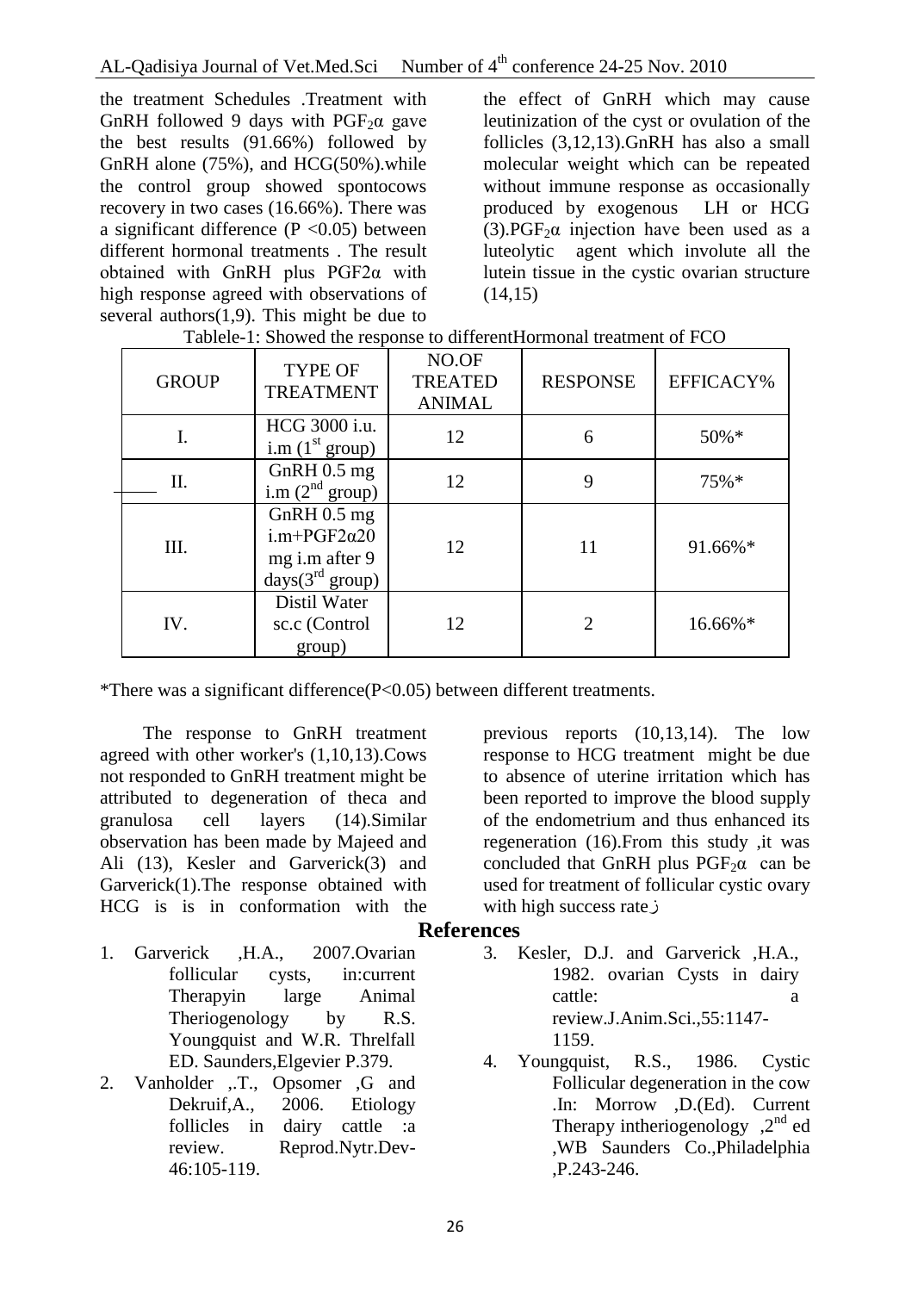the treatment Schedules .Treatment with GnRH followed 9 days with  $PGF<sub>2</sub>α$  gave the best results (91.66%) followed by GnRH alone (75%), and HCG(50%).while the control group showed spontocows recovery in two cases (16.66%). There was a significant difference  $(P \le 0.05)$  between different hormonal treatments . The result obtained with GnRH plus PGF2α with high response agreed with observations of several authors $(1,9)$ . This might be due to

the effect of GnRH which may cause leutinization of the cyst or ovulation of the follicles (3,12,13).GnRH has also a small molecular weight which can be repeated without immune response as occasionally produced by exogenous LH or HCG (3). PGF<sub>2</sub> $\alpha$  injection have been used as a luteolytic agent which involute all the lutein tissue in the cystic ovarian structure  $(14,15)$ 

| <b>GROUP</b> | <b>TYPE OF</b><br><b>TREATMENT</b>                                          | NO.OF<br><b>TREATED</b><br><b>ANIMAL</b> | <b>RESPONSE</b>             | EFFICACY% |
|--------------|-----------------------------------------------------------------------------|------------------------------------------|-----------------------------|-----------|
| I.           | HCG 3000 i.u.<br>i.m $(1st group)$                                          | 12                                       | 6                           | $50\% *$  |
| II.          | GnRH $0.5$ mg<br>i.m $(2nd group)$                                          | 12                                       | 9                           | $75\%*$   |
| III.         | GnRH $0.5$ mg<br>$i.m+PGF2\alpha20$<br>mg i.m after 9<br>days $(3rd group)$ | 12                                       | 11                          | 91.66%*   |
| IV.          | Distil Water<br>sc.c (Control<br>group)                                     | 12.                                      | $\mathcal{D}_{\mathcal{L}}$ | 16.66%*   |

|  | Tablele-1: Showed the response to different Hormonal treatment of FCO |  |
|--|-----------------------------------------------------------------------|--|
|  |                                                                       |  |

\*There was a significant difference(P<0.05) between different treatments.

The response to GnRH treatment agreed with other worker's (1,10,13).Cows not responded to GnRH treatment might be attributed to degeneration of theca and granulosa cell layers (14).Similar observation has been made by Majeed and Ali (13), Kesler and Garverick(3) and Garverick(1).The response obtained with HCG is is in conformation with the

previous reports (10,13,14). The low response to HCG treatment might be due to absence of uterine irritation which has been reported to improve the blood supply of the endometrium and thus enhanced its regeneration (16).From this study ,it was concluded that GnRH plus  $PGF_2\alpha$  can be used for treatment of follicular cystic ovary with high success rateز

### **References**

- 1. Garverick ,H.A., 2007.Ovarian follicular cysts, in:current Therapyin large Animal Theriogenology by R.S. Youngquist and W.R. Threlfall ED. Saunders,Elgevier P.379.
- 2. Vanholder ,.T., Opsomer ,G and Dekruif,A., 2006. Etiology follicles in dairy cattle :a review. Reprod.Nytr.Dev-46:105-119.
- 3. Kesler, D.J. and Garverick ,H.A., 1982. ovarian Cysts in dairy cattle: a cattle: a cattle: a cattle: a cattle: a cattle a cattle a cattle a cattle a cattle a cattle a cattle a cattle a cattle a cattle a cattle a cattle a cattle a cattle a cattle a cattle a cattle a cattle a cattle a c review.J.Anim.Sci.,55:1147- 1159.
- 4. Youngquist, R.S., 1986. Cystic Follicular degeneration in the cow .In: Morrow ,D.(Ed). Current Therapy intheriogenology  $2^{nd}$  ed ,WB Saunders Co.,Philadelphia ,P.243-246.